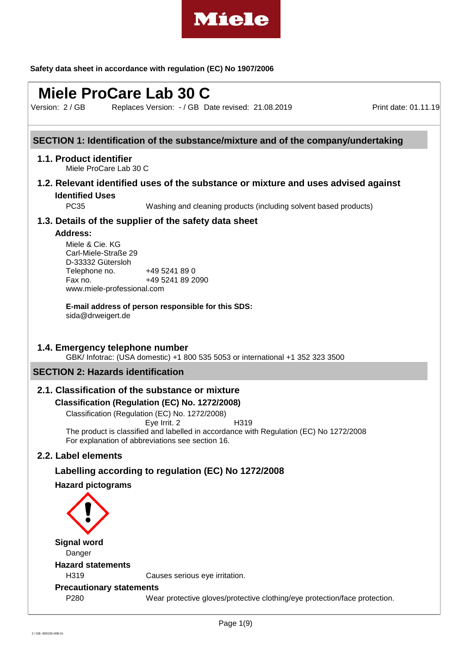

# **Miele ProCare Lab 30 C**

Version: 2 / GB

Replaces Version: - / GB Date revised: 21.08.2019 Print date: 01.11.19

# **SECTION 1: Identification of the substance/mixture and of the company/undertaking**

#### **1.1. Product identifier**

Miele ProCare Lab 30 C

# **1.2. Relevant identified uses of the substance or mixture and uses advised against Identified Uses**

PC35 Washing and cleaning products (including solvent based products)

#### **1.3. Details of the supplier of the safety data sheet**

#### **Address:**

Miele & Cie. KG Carl-Miele-Straße 29 D-33332 Gütersloh Telephone no. +49 5241 89 0 Fax no. +49 5241 89 2090 www.miele-professional.com

**E-mail address of person responsible for this SDS:** sida@drweigert.de

#### **1.4. Emergency telephone number**

GBK/ Infotrac: (USA domestic) +1 800 535 5053 or international +1 352 323 3500

# **SECTION 2: Hazards identification**

# **2.1. Classification of the substance or mixture**

#### **Classification (Regulation (EC) No. 1272/2008)**

Classification (Regulation (EC) No. 1272/2008) Eye Irrit. 2 H319 The product is classified and labelled in accordance with Regulation (EC) No 1272/2008 For explanation of abbreviations see section 16.

# **2.2. Label elements**

#### **Labelling according to regulation (EC) No 1272/2008**

#### **Hazard pictograms**

**Signal word** Danger **Hazard statements** H319 Causes serious eye irritation. **Precautionary statements** P280 Wear protective gloves/protective clothing/eye protection/face protection.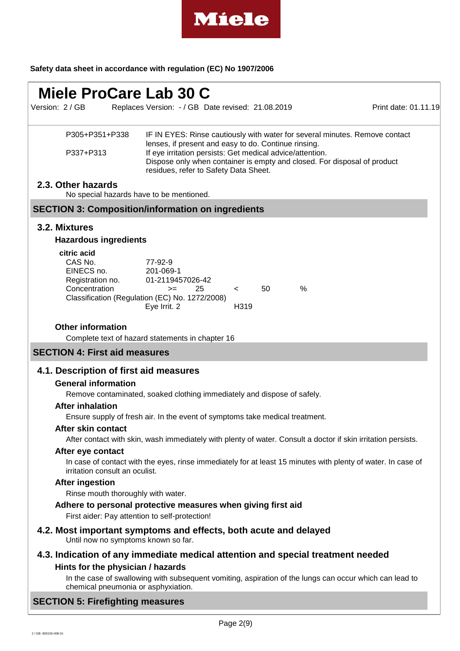

# **Miele ProCare Lab 30 C**

Replaces Version: - / GB Date revised: 21.08.2019 Print date: 01.11.19 Version: 2 / GB

| P305+P351+P338 | IF IN EYES: Rinse cautiously with water for several minutes. Remove contact |
|----------------|-----------------------------------------------------------------------------|
|                | lenses, if present and easy to do. Continue rinsing.                        |
| P337+P313      | If eye irritation persists: Get medical advice/attention.                   |
|                | Dispose only when container is empty and closed. For disposal of product    |
|                | residues, refer to Safety Data Sheet.                                       |

#### **2.3. Other hazards**

No special hazards have to be mentioned.

# **SECTION 3: Composition/information on ingredients**

#### **3.2. Mixtures**

#### **Hazardous ingredients**

| citric acid                                    |                  |    |                  |    |   |
|------------------------------------------------|------------------|----|------------------|----|---|
| CAS No.                                        | 77-92-9          |    |                  |    |   |
| EINECS no.                                     | 201-069-1        |    |                  |    |   |
| Registration no.                               | 01-2119457026-42 |    |                  |    |   |
| Concentration                                  | $>=$             | 25 | $\epsilon$       | 50 | % |
| Classification (Regulation (EC) No. 1272/2008) |                  |    |                  |    |   |
|                                                | Eye Irrit. 2     |    | H <sub>319</sub> |    |   |
|                                                |                  |    |                  |    |   |

#### **Other information**

Complete text of hazard statements in chapter 16

# **SECTION 4: First aid measures**

#### **4.1. Description of first aid measures**

#### **General information**

Remove contaminated, soaked clothing immediately and dispose of safely.

#### **After inhalation**

Ensure supply of fresh air. In the event of symptoms take medical treatment.

# **After skin contact**

After contact with skin, wash immediately with plenty of water. Consult a doctor if skin irritation persists.

#### **After eye contact**

In case of contact with the eyes, rinse immediately for at least 15 minutes with plenty of water. In case of irritation consult an oculist.

#### **After ingestion**

Rinse mouth thoroughly with water.

#### **Adhere to personal protective measures when giving first aid**

First aider: Pay attention to self-protection!

- **4.2. Most important symptoms and effects, both acute and delayed**
	- Until now no symptoms known so far.
- **4.3. Indication of any immediate medical attention and special treatment needed Hints for the physician / hazards**

In the case of swallowing with subsequent vomiting, aspiration of the lungs can occur which can lead to chemical pneumonia or asphyxiation.

#### **SECTION 5: Firefighting measures**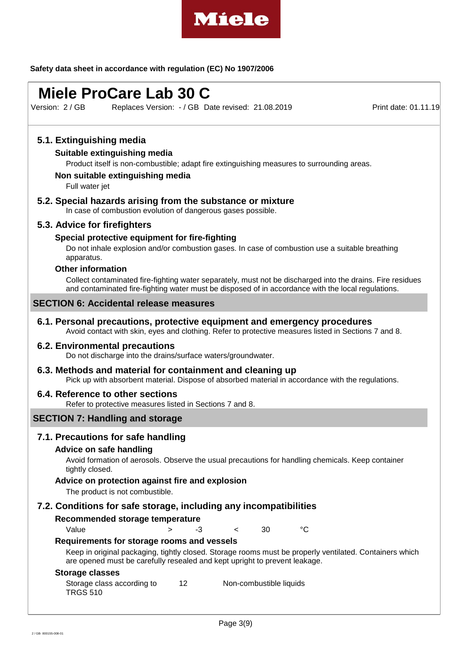

# **Miele ProCare Lab 30 C**

Replaces Version: - / GB Date revised: 21.08.2019 Print date: 01.11.19 Version: 2 / GB

# **5.1. Extinguishing media**

#### **Suitable extinguishing media**

Product itself is non-combustible; adapt fire extinguishing measures to surrounding areas.

#### **Non suitable extinguishing media**

Full water jet

## **5.2. Special hazards arising from the substance or mixture**

In case of combustion evolution of dangerous gases possible.

# **5.3. Advice for firefighters**

#### **Special protective equipment for fire-fighting**

Do not inhale explosion and/or combustion gases. In case of combustion use a suitable breathing apparatus.

## **Other information**

Collect contaminated fire-fighting water separately, must not be discharged into the drains. Fire residues and contaminated fire-fighting water must be disposed of in accordance with the local regulations.

#### **SECTION 6: Accidental release measures**

#### **6.1. Personal precautions, protective equipment and emergency procedures**

Avoid contact with skin, eyes and clothing. Refer to protective measures listed in Sections 7 and 8.

#### **6.2. Environmental precautions**

Do not discharge into the drains/surface waters/groundwater.

#### **6.3. Methods and material for containment and cleaning up**

Pick up with absorbent material. Dispose of absorbed material in accordance with the regulations.

#### **6.4. Reference to other sections**

Refer to protective measures listed in Sections 7 and 8.

#### **SECTION 7: Handling and storage**

### **7.1. Precautions for safe handling**

#### **Advice on safe handling**

Avoid formation of aerosols. Observe the usual precautions for handling chemicals. Keep container tightly closed.

#### **Advice on protection against fire and explosion**

The product is not combustible.

#### **7.2. Conditions for safe storage, including any incompatibilities**

#### **Recommended storage temperature**

Value > -3 < 30 °C

## **Requirements for storage rooms and vessels**

Keep in original packaging, tightly closed. Storage rooms must be properly ventilated. Containers which are opened must be carefully resealed and kept upright to prevent leakage.

#### **Storage classes**

Storage class according to TRGS 510 12 Non-combustible liquids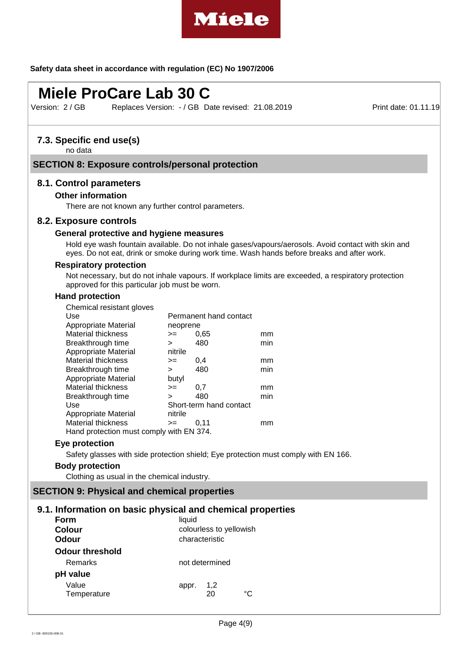

# **Miele ProCare Lab 30 C**

Version: 2 / GB

Replaces Version: - / GB Date revised: 21.08.2019 Print date: 01.11.19

# **7.3. Specific end use(s)**

no data

### **SECTION 8: Exposure controls/personal protection**

#### **8.1. Control parameters**

#### **Other information**

There are not known any further control parameters.

#### **8.2. Exposure controls**

#### **General protective and hygiene measures**

Hold eye wash fountain available. Do not inhale gases/vapours/aerosols. Avoid contact with skin and eyes. Do not eat, drink or smoke during work time. Wash hands before breaks and after work.

#### **Respiratory protection**

Not necessary, but do not inhale vapours. If workplace limits are exceeded, a respiratory protection approved for this particular job must be worn.

### **Hand protection**

| Chemical resistant gloves                |                        |                         |     |  |  |
|------------------------------------------|------------------------|-------------------------|-----|--|--|
| Use                                      | Permanent hand contact |                         |     |  |  |
| Appropriate Material                     | neoprene               |                         |     |  |  |
| Material thickness                       | $=$                    | 0.65                    | mm  |  |  |
| Breakthrough time                        | $\geq$                 | 480                     | min |  |  |
| Appropriate Material                     | nitrile                |                         |     |  |  |
| Material thickness                       | >=                     | 0,4                     | mm  |  |  |
| Breakthrough time                        | ⋗                      | 480                     | min |  |  |
| Appropriate Material                     | butyl                  |                         |     |  |  |
| Material thickness                       | $=$                    | 0,7                     | mm  |  |  |
| Breakthrough time                        | ⋗                      | 480                     | min |  |  |
| Use                                      |                        | Short-term hand contact |     |  |  |
| Appropriate Material                     | nitrile                |                         |     |  |  |
| <b>Material thickness</b>                | $=$                    | 0.11                    | mm  |  |  |
| Hand protection must comply with EN 374. |                        |                         |     |  |  |

#### **Eye protection**

Safety glasses with side protection shield; Eye protection must comply with EN 166.

#### **Body protection**

Clothing as usual in the chemical industry.

#### **SECTION 9: Physical and chemical properties**

#### **9.1. Information on basic physical and chemical properties**

| Form                   | liquid                  |  |  |  |
|------------------------|-------------------------|--|--|--|
| <b>Colour</b>          | colourless to yellowish |  |  |  |
| Odour                  | characteristic          |  |  |  |
| <b>Odour threshold</b> |                         |  |  |  |
| Remarks                | not determined          |  |  |  |
| pH value               |                         |  |  |  |
| Value<br>Temperature   | 1,2<br>appr.<br>∘∩      |  |  |  |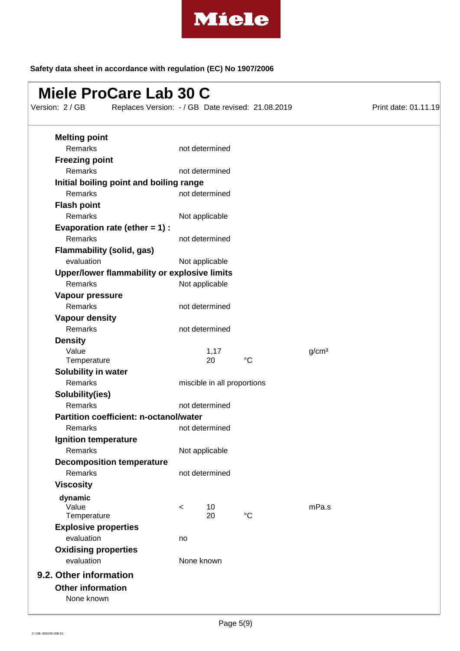

# **Miele ProCare Lab 30 C**

Replaces Version: - / GB Date revised: 21.08.2019 Print date: 01.11.19 Version: 2 / GB

| <b>Melting point</b>                         |       |                             |             |                   |
|----------------------------------------------|-------|-----------------------------|-------------|-------------------|
| Remarks                                      |       | not determined              |             |                   |
| <b>Freezing point</b>                        |       |                             |             |                   |
| <b>Remarks</b>                               |       | not determined              |             |                   |
| Initial boiling point and boiling range      |       |                             |             |                   |
| Remarks                                      |       | not determined              |             |                   |
| <b>Flash point</b>                           |       |                             |             |                   |
| Remarks                                      |       | Not applicable              |             |                   |
| Evaporation rate (ether $= 1$ ) :            |       |                             |             |                   |
| Remarks                                      |       | not determined              |             |                   |
| <b>Flammability (solid, gas)</b>             |       |                             |             |                   |
| evaluation                                   |       | Not applicable              |             |                   |
| Upper/lower flammability or explosive limits |       |                             |             |                   |
| Remarks                                      |       | Not applicable              |             |                   |
| Vapour pressure                              |       |                             |             |                   |
| Remarks                                      |       | not determined              |             |                   |
| <b>Vapour density</b>                        |       |                             |             |                   |
| Remarks                                      |       | not determined              |             |                   |
| <b>Density</b>                               |       |                             |             |                   |
| Value                                        |       | 1,17                        |             | g/cm <sup>3</sup> |
| Temperature                                  |       | 20                          | $^{\circ}C$ |                   |
| Solubility in water                          |       |                             |             |                   |
| Remarks                                      |       | miscible in all proportions |             |                   |
| Solubility(ies)                              |       |                             |             |                   |
| Remarks                                      |       | not determined              |             |                   |
| Partition coefficient: n-octanol/water       |       |                             |             |                   |
| Remarks                                      |       | not determined              |             |                   |
| Ignition temperature                         |       |                             |             |                   |
| Remarks                                      |       | Not applicable              |             |                   |
| <b>Decomposition temperature</b>             |       |                             |             |                   |
| Remarks                                      |       | not determined              |             |                   |
| <b>Viscosity</b>                             |       |                             |             |                   |
| dynamic                                      |       |                             |             |                   |
| Value                                        | $\,<$ | 10                          |             | mPa.s             |
| Temperature                                  |       | 20                          | $^{\circ}C$ |                   |
| <b>Explosive properties</b>                  |       |                             |             |                   |
| evaluation                                   | no    |                             |             |                   |
| <b>Oxidising properties</b>                  |       |                             |             |                   |
| evaluation                                   |       | None known                  |             |                   |
| 9.2. Other information                       |       |                             |             |                   |
| <b>Other information</b>                     |       |                             |             |                   |
| None known                                   |       |                             |             |                   |
|                                              |       |                             |             |                   |
|                                              |       |                             |             |                   |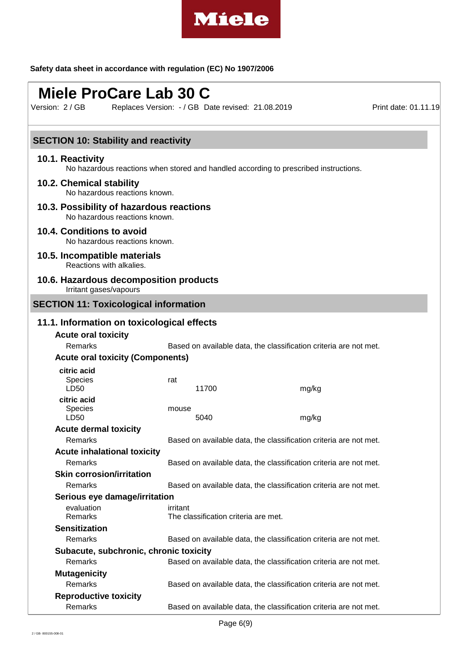

# **Miele ProCare Lab 30 C**

Replaces Version: - / GB Date revised: 21.08.2019 Print date: 01.11.19 Version: 2 / GB

| <b>SECTION 10: Stability and reactivity</b>                                                              |                                                                   |       |                                                                   |  |  |
|----------------------------------------------------------------------------------------------------------|-------------------------------------------------------------------|-------|-------------------------------------------------------------------|--|--|
| 10.1. Reactivity<br>No hazardous reactions when stored and handled according to prescribed instructions. |                                                                   |       |                                                                   |  |  |
| 10.2. Chemical stability<br>No hazardous reactions known.                                                |                                                                   |       |                                                                   |  |  |
| 10.3. Possibility of hazardous reactions<br>No hazardous reactions known.                                |                                                                   |       |                                                                   |  |  |
| 10.4. Conditions to avoid<br>No hazardous reactions known.                                               |                                                                   |       |                                                                   |  |  |
| 10.5. Incompatible materials<br>Reactions with alkalies.                                                 |                                                                   |       |                                                                   |  |  |
| 10.6. Hazardous decomposition products<br>Irritant gases/vapours                                         |                                                                   |       |                                                                   |  |  |
| <b>SECTION 11: Toxicological information</b>                                                             |                                                                   |       |                                                                   |  |  |
| 11.1. Information on toxicological effects                                                               |                                                                   |       |                                                                   |  |  |
| <b>Acute oral toxicity</b>                                                                               |                                                                   |       |                                                                   |  |  |
| Remarks                                                                                                  |                                                                   |       | Based on available data, the classification criteria are not met. |  |  |
| <b>Acute oral toxicity (Components)</b>                                                                  |                                                                   |       |                                                                   |  |  |
| citric acid                                                                                              |                                                                   |       |                                                                   |  |  |
| Species<br>LD50                                                                                          | rat                                                               | 11700 | mg/kg                                                             |  |  |
| citric acid<br>Species<br>LD50                                                                           | mouse                                                             | 5040  | mg/kg                                                             |  |  |
| <b>Acute dermal toxicity</b>                                                                             |                                                                   |       |                                                                   |  |  |
| Remarks                                                                                                  |                                                                   |       | Based on available data, the classification criteria are not met. |  |  |
| <b>Acute inhalational toxicity</b>                                                                       |                                                                   |       |                                                                   |  |  |
| Remarks                                                                                                  |                                                                   |       | Based on available data, the classification criteria are not met. |  |  |
| <b>Skin corrosion/irritation</b>                                                                         |                                                                   |       |                                                                   |  |  |
| Remarks                                                                                                  | Based on available data, the classification criteria are not met. |       |                                                                   |  |  |
| Serious eye damage/irritation                                                                            |                                                                   |       |                                                                   |  |  |
| evaluation                                                                                               | irritant                                                          |       |                                                                   |  |  |
| Remarks                                                                                                  | The classification criteria are met.                              |       |                                                                   |  |  |
| <b>Sensitization</b>                                                                                     |                                                                   |       |                                                                   |  |  |
| Remarks                                                                                                  |                                                                   |       | Based on available data, the classification criteria are not met. |  |  |
| Subacute, subchronic, chronic toxicity                                                                   |                                                                   |       |                                                                   |  |  |
| Remarks                                                                                                  |                                                                   |       | Based on available data, the classification criteria are not met. |  |  |
| <b>Mutagenicity</b>                                                                                      |                                                                   |       |                                                                   |  |  |
| Remarks                                                                                                  |                                                                   |       | Based on available data, the classification criteria are not met. |  |  |
| <b>Reproductive toxicity</b>                                                                             |                                                                   |       |                                                                   |  |  |
| Remarks                                                                                                  |                                                                   |       | Based on available data, the classification criteria are not met. |  |  |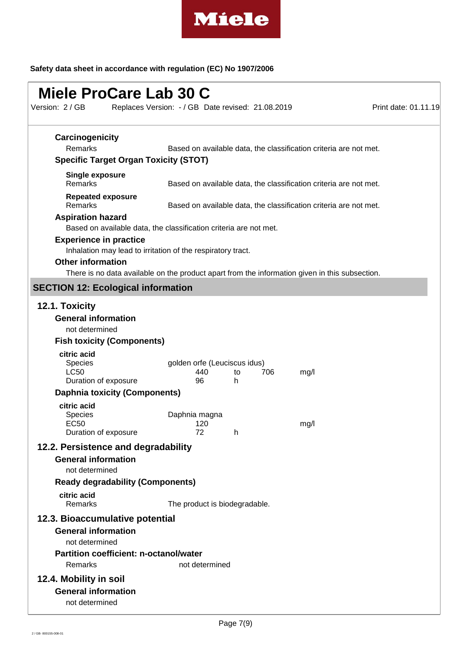

| Miele ProCare Lab 30 C<br>Version: 2 / GB                                                           | Replaces Version: - / GB Date revised: 21.08.2019                                                                                                             | Print date: 01.11.19 |
|-----------------------------------------------------------------------------------------------------|---------------------------------------------------------------------------------------------------------------------------------------------------------------|----------------------|
| Carcinogenicity<br>Remarks<br><b>Specific Target Organ Toxicity (STOT)</b>                          | Based on available data, the classification criteria are not met.                                                                                             |                      |
| <b>Single exposure</b><br>Remarks                                                                   | Based on available data, the classification criteria are not met.                                                                                             |                      |
| <b>Repeated exposure</b><br>Remarks                                                                 | Based on available data, the classification criteria are not met.                                                                                             |                      |
| <b>Aspiration hazard</b>                                                                            | Based on available data, the classification criteria are not met.                                                                                             |                      |
| <b>Experience in practice</b><br><b>Other information</b>                                           | Inhalation may lead to irritation of the respiratory tract.<br>There is no data available on the product apart from the information given in this subsection. |                      |
| <b>SECTION 12: Ecological information</b>                                                           |                                                                                                                                                               |                      |
| 12.1. Toxicity<br><b>General information</b><br>not determined<br><b>Fish toxicity (Components)</b> |                                                                                                                                                               |                      |
| citric acid<br><b>Species</b><br><b>LC50</b><br>Duration of exposure                                | golden orfe (Leuciscus idus)<br>440<br>706<br>mg/l<br>to<br>96<br>h                                                                                           |                      |
| <b>Daphnia toxicity (Components)</b><br>citric acid                                                 |                                                                                                                                                               |                      |
| <b>Species</b><br>EC <sub>50</sub><br>Duration of exposure                                          | Daphnia magna<br>120<br>mg/l<br>72<br>h                                                                                                                       |                      |
| 12.2. Persistence and degradability                                                                 |                                                                                                                                                               |                      |
| <b>General information</b><br>not determined                                                        |                                                                                                                                                               |                      |
| <b>Ready degradability (Components)</b><br>citric acid                                              |                                                                                                                                                               |                      |
| Remarks                                                                                             | The product is biodegradable.                                                                                                                                 |                      |
| 12.3. Bioaccumulative potential                                                                     |                                                                                                                                                               |                      |
| <b>General information</b><br>not determined                                                        |                                                                                                                                                               |                      |
| <b>Partition coefficient: n-octanol/water</b>                                                       |                                                                                                                                                               |                      |
| Remarks                                                                                             | not determined                                                                                                                                                |                      |
| 12.4. Mobility in soil<br><b>General information</b><br>not determined                              |                                                                                                                                                               |                      |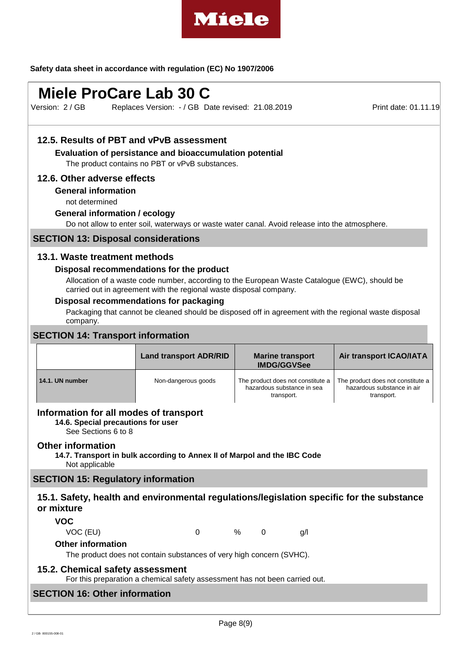

# **Miele ProCare Lab 30 C**

Replaces Version: - / GB Date revised: 21.08.2019 Print date: 01.11.19 Version: 2 / GB

# **12.5. Results of PBT and vPvB assessment**

**Evaluation of persistance and bioaccumulation potential**

The product contains no PBT or vPvB substances.

#### **12.6. Other adverse effects**

#### **General information**

not determined

#### **General information / ecology**

Do not allow to enter soil, waterways or waste water canal. Avoid release into the atmosphere.

#### **SECTION 13: Disposal considerations**

#### **13.1. Waste treatment methods**

#### **Disposal recommendations for the product**

Allocation of a waste code number, according to the European Waste Catalogue (EWC), should be carried out in agreement with the regional waste disposal company.

# **Disposal recommendations for packaging**

Packaging that cannot be cleaned should be disposed off in agreement with the regional waste disposal company.

# **SECTION 14: Transport information**

|                 | <b>Land transport ADR/RID</b> | <b>Marine transport</b><br><b>IMDG/GGVSee</b>                                 | <b>Air transport ICAO/IATA</b>                                                |
|-----------------|-------------------------------|-------------------------------------------------------------------------------|-------------------------------------------------------------------------------|
| 14.1. UN number | Non-dangerous goods           | The product does not constitute a<br>hazardous substance in sea<br>transport. | The product does not constitute a<br>hazardous substance in air<br>transport. |

### **Information for all modes of transport**

**14.6. Special precautions for user**

See Sections 6 to 8

#### **Other information**

**14.7. Transport in bulk according to Annex II of Marpol and the IBC Code** Not applicable

#### **SECTION 15: Regulatory information**

# **15.1. Safety, health and environmental regulations/legislation specific for the substance or mixture**

**VOC**

VOC (EU) 0 % 0 g/l

### **Other information**

The product does not contain substances of very high concern (SVHC).

#### **15.2. Chemical safety assessment**

For this preparation a chemical safety assessment has not been carried out.

# **SECTION 16: Other information**